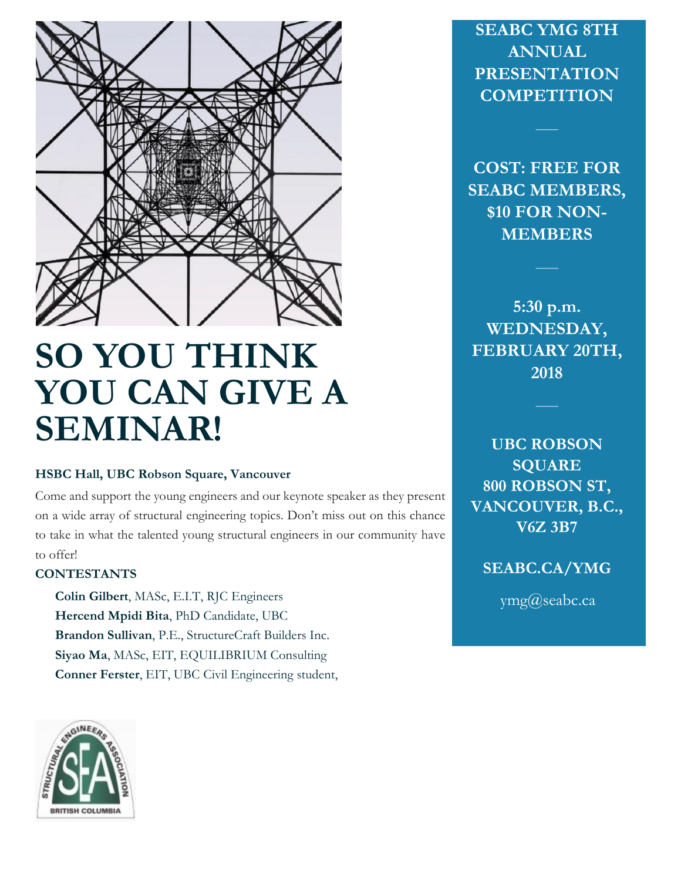

# **SO YOU THINK YOU CAN GIVE A SEMINAR!**

## **HSBC Hall, UBC Robson Square, Vancouver**

Come and support the young engineers and our keynote speaker as they present on a wide array of structural engineering topics. Don't miss out on this chance to take in what the talented young structural engineers in our community have to offer!

## **CONTESTANTS**

**Colin Gilbert**, MASc, E.I.T, RJC Engineers  **Hercend Mpidi Bita**, PhD Candidate, UBC  **Brandon Sullivan**, P.E., StructureCraft Builders Inc.  **Siyao Ma**, MASc, EIT, EQUILIBRIUM Consulting **Conner Ferster**, EIT, UBC Civil Engineering student,

**SEABC YMG 8TH ANNUAL PRESENTATION COMPETITION**

**COST: FREE FOR SEABC MEMBERS, \$10 FOR NON-MEMBERS**

**\_\_\_\_**

**5:30 p.m. WEDNESDAY, FEBRUARY 20TH, 2018**

**\_\_\_\_**

**UBC ROBSON SQUARE 800 ROBSON ST, VANCOUVER, B.C., V6Z 3B7**

**SEABC.CA/YMG**

ymg@seabc.ca

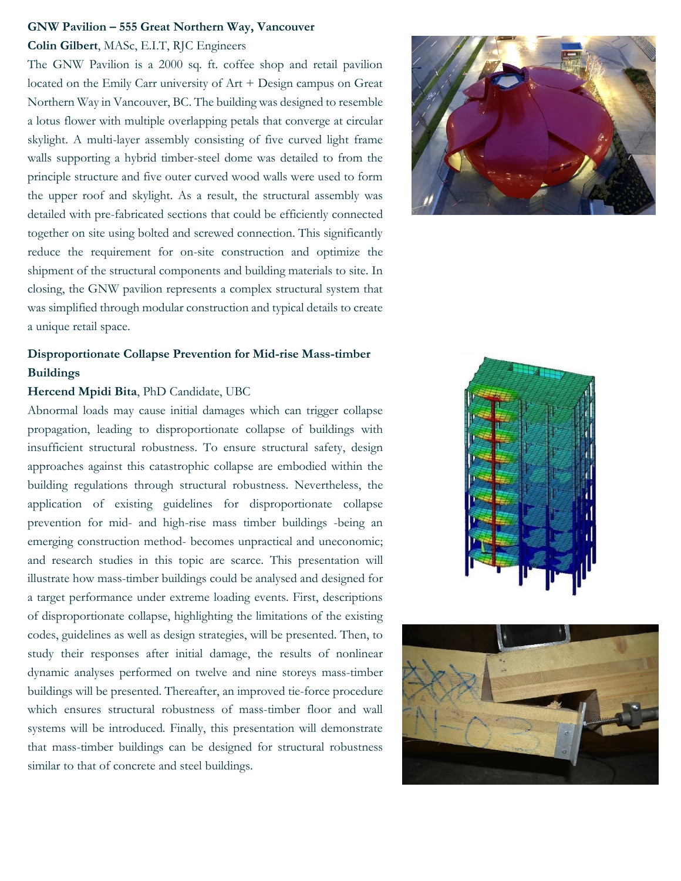#### **GNW Pavilion – 555 Great Northern Way, Vancouver**

#### **Colin Gilbert**, MASc, E.I.T, RJC Engineers

The GNW Pavilion is a 2000 sq. ft. coffee shop and retail pavilion located on the Emily Carr university of Art + Design campus on Great Northern Way in Vancouver, BC. The building was designed to resemble a lotus flower with multiple overlapping petals that converge at circular skylight. A multi-layer assembly consisting of five curved light frame walls supporting a hybrid timber-steel dome was detailed to from the principle structure and five outer curved wood walls were used to form the upper roof and skylight. As a result, the structural assembly was detailed with pre-fabricated sections that could be efficiently connected together on site using bolted and screwed connection. This significantly reduce the requirement for on-site construction and optimize the shipment of the structural components and building materials to site. In closing, the GNW pavilion represents a complex structural system that was simplified through modular construction and typical details to create a unique retail space.

# **Disproportionate Collapse Prevention for Mid-rise Mass-timber Buildings**

#### **Hercend Mpidi Bita**, PhD Candidate, UBC

Abnormal loads may cause initial damages which can trigger collapse propagation, leading to disproportionate collapse of buildings with insufficient structural robustness. To ensure structural safety, design approaches against this catastrophic collapse are embodied within the building regulations through structural robustness. Nevertheless, the application of existing guidelines for disproportionate collapse prevention for mid- and high-rise mass timber buildings -being an emerging construction method- becomes unpractical and uneconomic; and research studies in this topic are scarce. This presentation will illustrate how mass-timber buildings could be analysed and designed for a target performance under extreme loading events. First, descriptions of disproportionate collapse, highlighting the limitations of the existing codes, guidelines as well as design strategies, will be presented. Then, to study their responses after initial damage, the results of nonlinear dynamic analyses performed on twelve and nine storeys mass-timber buildings will be presented. Thereafter, an improved tie-force procedure which ensures structural robustness of mass-timber floor and wall systems will be introduced. Finally, this presentation will demonstrate that mass-timber buildings can be designed for structural robustness similar to that of concrete and steel buildings.





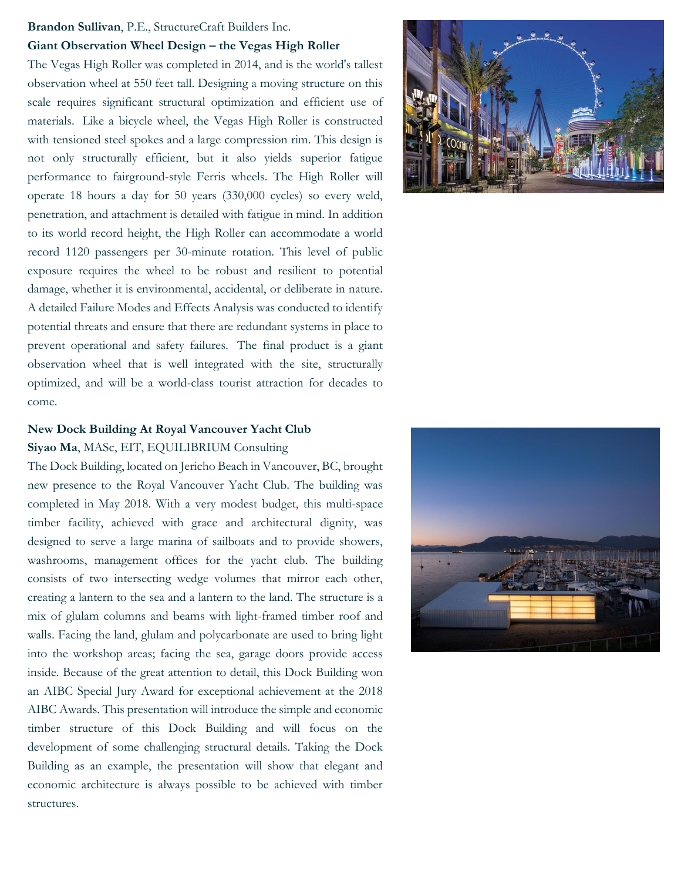#### **Brandon Sullivan**, P.E., StructureCraft Builders Inc.

#### **Giant Observation Wheel Design – the Vegas High Roller**

The Vegas High Roller was completed in 2014, and is the world's tallest observation wheel at 550 feet tall. Designing a moving structure on this scale requires significant structural optimization and efficient use of materials. Like a bicycle wheel, the Vegas High Roller is constructed with tensioned steel spokes and a large compression rim. This design is not only structurally efficient, but it also yields superior fatigue performance to fairground-style Ferris wheels. The High Roller will operate 18 hours a day for 50 years (330,000 cycles) so every weld, penetration, and attachment is detailed with fatigue in mind. In addition to its world record height, the High Roller can accommodate a world record 1120 passengers per 30-minute rotation. This level of public exposure requires the wheel to be robust and resilient to potential damage, whether it is environmental, accidental, or deliberate in nature. A detailed Failure Modes and Effects Analysis was conducted to identify potential threats and ensure that there are redundant systems in place to prevent operational and safety failures. The final product is a giant observation wheel that is well integrated with the site, structurally optimized, and will be a world-class tourist attraction for decades to come.

# **New Dock Building At Royal Vancouver Yacht Club Siyao Ma**, MASc, EIT, EQUILIBRIUM Consulting

The Dock Building, located on Jericho Beach in Vancouver, BC, brought new presence to the Royal Vancouver Yacht Club. The building was completed in May 2018. With a very modest budget, this multi-space timber facility, achieved with grace and architectural dignity, was designed to serve a large marina of sailboats and to provide showers, washrooms, management offices for the yacht club. The building consists of two intersecting wedge volumes that mirror each other, creating a lantern to the sea and a lantern to the land. The structure is a mix of glulam columns and beams with light-framed timber roof and walls. Facing the land, glulam and polycarbonate are used to bring light into the workshop areas; facing the sea, garage doors provide access inside. Because of the great attention to detail, this Dock Building won an AIBC Special Jury Award for exceptional achievement at the 2018 AIBC Awards. This presentation will introduce the simple and economic timber structure of this Dock Building and will focus on the development of some challenging structural details. Taking the Dock Building as an example, the presentation will show that elegant and economic architecture is always possible to be achieved with timber structures.